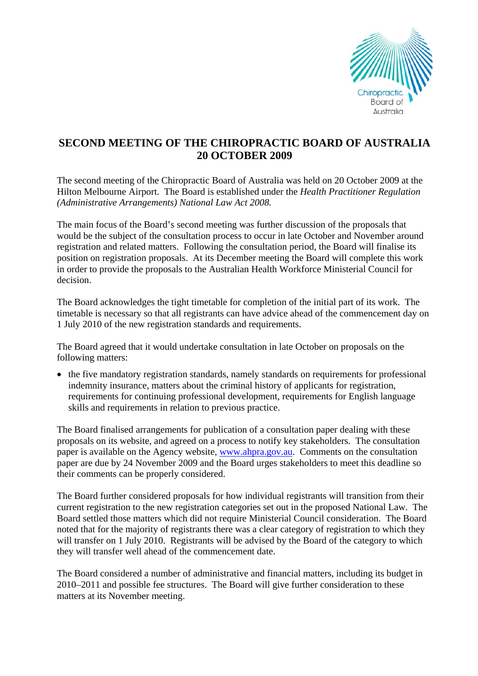

## **SECOND MEETING OF THE CHIROPRACTIC BOARD OF AUSTRALIA 20 OCTOBER 2009**

The second meeting of the Chiropractic Board of Australia was held on 20 October 2009 at the Hilton Melbourne Airport. The Board is established under the *Health Practitioner Regulation (Administrative Arrangements) National Law Act 2008.* 

The main focus of the Board's second meeting was further discussion of the proposals that would be the subject of the consultation process to occur in late October and November around registration and related matters. Following the consultation period, the Board will finalise its position on registration proposals. At its December meeting the Board will complete this work in order to provide the proposals to the Australian Health Workforce Ministerial Council for decision.

The Board acknowledges the tight timetable for completion of the initial part of its work. The timetable is necessary so that all registrants can have advice ahead of the commencement day on 1 July 2010 of the new registration standards and requirements.

The Board agreed that it would undertake consultation in late October on proposals on the following matters:

• the five mandatory registration standards, namely standards on requirements for professional indemnity insurance, matters about the criminal history of applicants for registration, requirements for continuing professional development, requirements for English language skills and requirements in relation to previous practice.

The Board finalised arrangements for publication of a consultation paper dealing with these proposals on its website, and agreed on a process to notify key stakeholders. The consultation paper is available on the Agency website, [www.ahpra.gov.au.](http://www.ahpra.gov.au/) Comments on the consultation paper are due by 24 November 2009 and the Board urges stakeholders to meet this deadline so their comments can be properly considered.

The Board further considered proposals for how individual registrants will transition from their current registration to the new registration categories set out in the proposed National Law. The Board settled those matters which did not require Ministerial Council consideration. The Board noted that for the majority of registrants there was a clear category of registration to which they will transfer on 1 July 2010. Registrants will be advised by the Board of the category to which they will transfer well ahead of the commencement date.

The Board considered a number of administrative and financial matters, including its budget in 2010–2011 and possible fee structures. The Board will give further consideration to these matters at its November meeting.